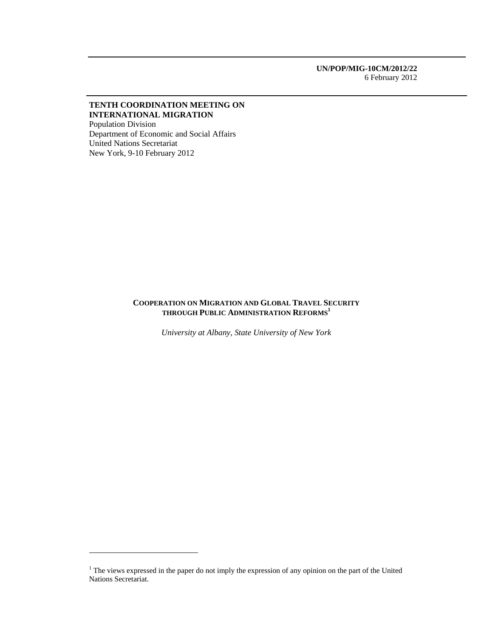**UN/POP/MIG-10CM/2012/22**  6 February 2012

## **TENTH COORDINATION MEETING ON INTERNATIONAL MIGRATION**

Population Division Department of Economic and Social Affairs United Nations Secretariat New York, 9-10 February 2012

## **COOPERATION ON MIGRATION AND GLOBAL TRAVEL SECURITY THROUGH PUBLIC ADMINISTRATION REFORMS<sup>1</sup>**

*University at Albany, State University of New York* 

 $<sup>1</sup>$  The views expressed in the paper do not imply the expression of any opinion on the part of the United</sup> Nations Secretariat.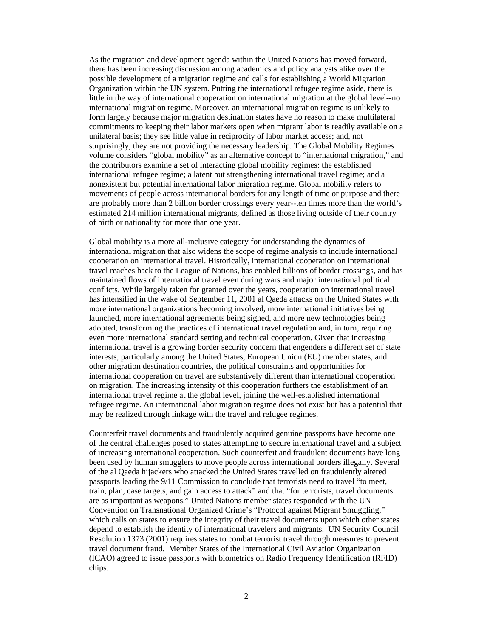As the migration and development agenda within the United Nations has moved forward, there has been increasing discussion among academics and policy analysts alike over the possible development of a migration regime and calls for establishing a World Migration Organization within the UN system. Putting the international refugee regime aside, there is little in the way of international cooperation on international migration at the global level--no international migration regime. Moreover, an international migration regime is unlikely to form largely because major migration destination states have no reason to make multilateral commitments to keeping their labor markets open when migrant labor is readily available on a unilateral basis; they see little value in reciprocity of labor market access; and, not surprisingly, they are not providing the necessary leadership. The Global Mobility Regimes volume considers "global mobility" as an alternative concept to "international migration," and the contributors examine a set of interacting global mobility regimes: the established international refugee regime; a latent but strengthening international travel regime; and a nonexistent but potential international labor migration regime. Global mobility refers to movements of people across international borders for any length of time or purpose and there are probably more than 2 billion border crossings every year--ten times more than the world's estimated 214 million international migrants, defined as those living outside of their country of birth or nationality for more than one year.

Global mobility is a more all-inclusive category for understanding the dynamics of international migration that also widens the scope of regime analysis to include international cooperation on international travel. Historically, international cooperation on international travel reaches back to the League of Nations, has enabled billions of border crossings, and has maintained flows of international travel even during wars and major international political conflicts. While largely taken for granted over the years, cooperation on international travel has intensified in the wake of September 11, 2001 al Qaeda attacks on the United States with more international organizations becoming involved, more international initiatives being launched, more international agreements being signed, and more new technologies being adopted, transforming the practices of international travel regulation and, in turn, requiring even more international standard setting and technical cooperation. Given that increasing international travel is a growing border security concern that engenders a different set of state interests, particularly among the United States, European Union (EU) member states, and other migration destination countries, the political constraints and opportunities for international cooperation on travel are substantively different than international cooperation on migration. The increasing intensity of this cooperation furthers the establishment of an international travel regime at the global level, joining the well-established international refugee regime. An international labor migration regime does not exist but has a potential that may be realized through linkage with the travel and refugee regimes.

Counterfeit travel documents and fraudulently acquired genuine passports have become one of the central challenges posed to states attempting to secure international travel and a subject of increasing international cooperation. Such counterfeit and fraudulent documents have long been used by human smugglers to move people across international borders illegally. Several of the al Qaeda hijackers who attacked the United States travelled on fraudulently altered passports leading the 9/11 Commission to conclude that terrorists need to travel "to meet, train, plan, case targets, and gain access to attack" and that "for terrorists, travel documents are as important as weapons." United Nations member states responded with the UN Convention on Transnational Organized Crime's "Protocol against Migrant Smuggling," which calls on states to ensure the integrity of their travel documents upon which other states depend to establish the identity of international travelers and migrants. UN Security Council Resolution 1373 (2001) requires states to combat terrorist travel through measures to prevent travel document fraud. Member States of the International Civil Aviation Organization (ICAO) agreed to issue passports with biometrics on Radio Frequency Identification (RFID) chips.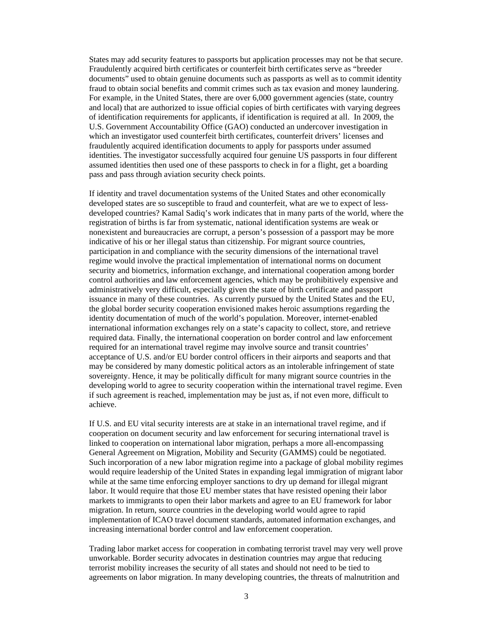States may add security features to passports but application processes may not be that secure. Fraudulently acquired birth certificates or counterfeit birth certificates serve as "breeder documents" used to obtain genuine documents such as passports as well as to commit identity fraud to obtain social benefits and commit crimes such as tax evasion and money laundering. For example, in the United States, there are over 6,000 government agencies (state, country and local) that are authorized to issue official copies of birth certificates with varying degrees of identification requirements for applicants, if identification is required at all. In 2009, the U.S. Government Accountability Office (GAO) conducted an undercover investigation in which an investigator used counterfeit birth certificates, counterfeit drivers' licenses and fraudulently acquired identification documents to apply for passports under assumed identities. The investigator successfully acquired four genuine US passports in four different assumed identities then used one of these passports to check in for a flight, get a boarding pass and pass through aviation security check points.

If identity and travel documentation systems of the United States and other economically developed states are so susceptible to fraud and counterfeit, what are we to expect of lessdeveloped countries? Kamal Sadiq's work indicates that in many parts of the world, where the registration of births is far from systematic, national identification systems are weak or nonexistent and bureaucracies are corrupt, a person's possession of a passport may be more indicative of his or her illegal status than citizenship. For migrant source countries, participation in and compliance with the security dimensions of the international travel regime would involve the practical implementation of international norms on document security and biometrics, information exchange, and international cooperation among border control authorities and law enforcement agencies, which may be prohibitively expensive and administratively very difficult, especially given the state of birth certificate and passport issuance in many of these countries. As currently pursued by the United States and the EU, the global border security cooperation envisioned makes heroic assumptions regarding the identity documentation of much of the world's population. Moreover, internet-enabled international information exchanges rely on a state's capacity to collect, store, and retrieve required data. Finally, the international cooperation on border control and law enforcement required for an international travel regime may involve source and transit countries' acceptance of U.S. and/or EU border control officers in their airports and seaports and that may be considered by many domestic political actors as an intolerable infringement of state sovereignty. Hence, it may be politically difficult for many migrant source countries in the developing world to agree to security cooperation within the international travel regime. Even if such agreement is reached, implementation may be just as, if not even more, difficult to achieve.

If U.S. and EU vital security interests are at stake in an international travel regime, and if cooperation on document security and law enforcement for securing international travel is linked to cooperation on international labor migration, perhaps a more all-encompassing General Agreement on Migration, Mobility and Security (GAMMS) could be negotiated. Such incorporation of a new labor migration regime into a package of global mobility regimes would require leadership of the United States in expanding legal immigration of migrant labor while at the same time enforcing employer sanctions to dry up demand for illegal migrant labor. It would require that those EU member states that have resisted opening their labor markets to immigrants to open their labor markets and agree to an EU framework for labor migration. In return, source countries in the developing world would agree to rapid implementation of ICAO travel document standards, automated information exchanges, and increasing international border control and law enforcement cooperation.

Trading labor market access for cooperation in combating terrorist travel may very well prove unworkable. Border security advocates in destination countries may argue that reducing terrorist mobility increases the security of all states and should not need to be tied to agreements on labor migration. In many developing countries, the threats of malnutrition and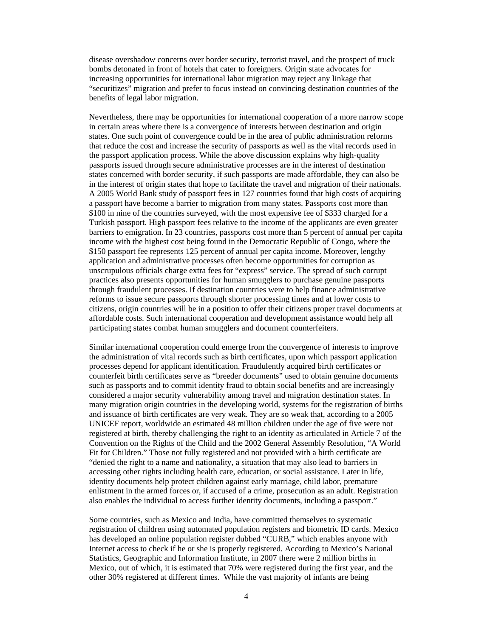disease overshadow concerns over border security, terrorist travel, and the prospect of truck bombs detonated in front of hotels that cater to foreigners. Origin state advocates for increasing opportunities for international labor migration may reject any linkage that "securitizes" migration and prefer to focus instead on convincing destination countries of the benefits of legal labor migration.

Nevertheless, there may be opportunities for international cooperation of a more narrow scope in certain areas where there is a convergence of interests between destination and origin states. One such point of convergence could be in the area of public administration reforms that reduce the cost and increase the security of passports as well as the vital records used in the passport application process. While the above discussion explains why high-quality passports issued through secure administrative processes are in the interest of destination states concerned with border security, if such passports are made affordable, they can also be in the interest of origin states that hope to facilitate the travel and migration of their nationals. A 2005 World Bank study of passport fees in 127 countries found that high costs of acquiring a passport have become a barrier to migration from many states. Passports cost more than \$100 in nine of the countries surveyed, with the most expensive fee of \$333 charged for a Turkish passport. High passport fees relative to the income of the applicants are even greater barriers to emigration. In 23 countries, passports cost more than 5 percent of annual per capita income with the highest cost being found in the Democratic Republic of Congo, where the \$150 passport fee represents 125 percent of annual per capita income. Moreover, lengthy application and administrative processes often become opportunities for corruption as unscrupulous officials charge extra fees for "express" service. The spread of such corrupt practices also presents opportunities for human smugglers to purchase genuine passports through fraudulent processes. If destination countries were to help finance administrative reforms to issue secure passports through shorter processing times and at lower costs to citizens, origin countries will be in a position to offer their citizens proper travel documents at affordable costs. Such international cooperation and development assistance would help all participating states combat human smugglers and document counterfeiters.

Similar international cooperation could emerge from the convergence of interests to improve the administration of vital records such as birth certificates, upon which passport application processes depend for applicant identification. Fraudulently acquired birth certificates or counterfeit birth certificates serve as "breeder documents" used to obtain genuine documents such as passports and to commit identity fraud to obtain social benefits and are increasingly considered a major security vulnerability among travel and migration destination states. In many migration origin countries in the developing world, systems for the registration of births and issuance of birth certificates are very weak. They are so weak that, according to a 2005 UNICEF report, worldwide an estimated 48 million children under the age of five were not registered at birth, thereby challenging the right to an identity as articulated in Article 7 of the Convention on the Rights of the Child and the 2002 General Assembly Resolution, "A World Fit for Children." Those not fully registered and not provided with a birth certificate are "denied the right to a name and nationality, a situation that may also lead to barriers in accessing other rights including health care, education, or social assistance. Later in life, identity documents help protect children against early marriage, child labor, premature enlistment in the armed forces or, if accused of a crime, prosecution as an adult. Registration also enables the individual to access further identity documents, including a passport."

Some countries, such as Mexico and India, have committed themselves to systematic registration of children using automated population registers and biometric ID cards. Mexico has developed an online population register dubbed "CURB," which enables anyone with Internet access to check if he or she is properly registered. According to Mexico's National Statistics, Geographic and Information Institute, in 2007 there were 2 million births in Mexico, out of which, it is estimated that 70% were registered during the first year, and the other 30% registered at different times. While the vast majority of infants are being